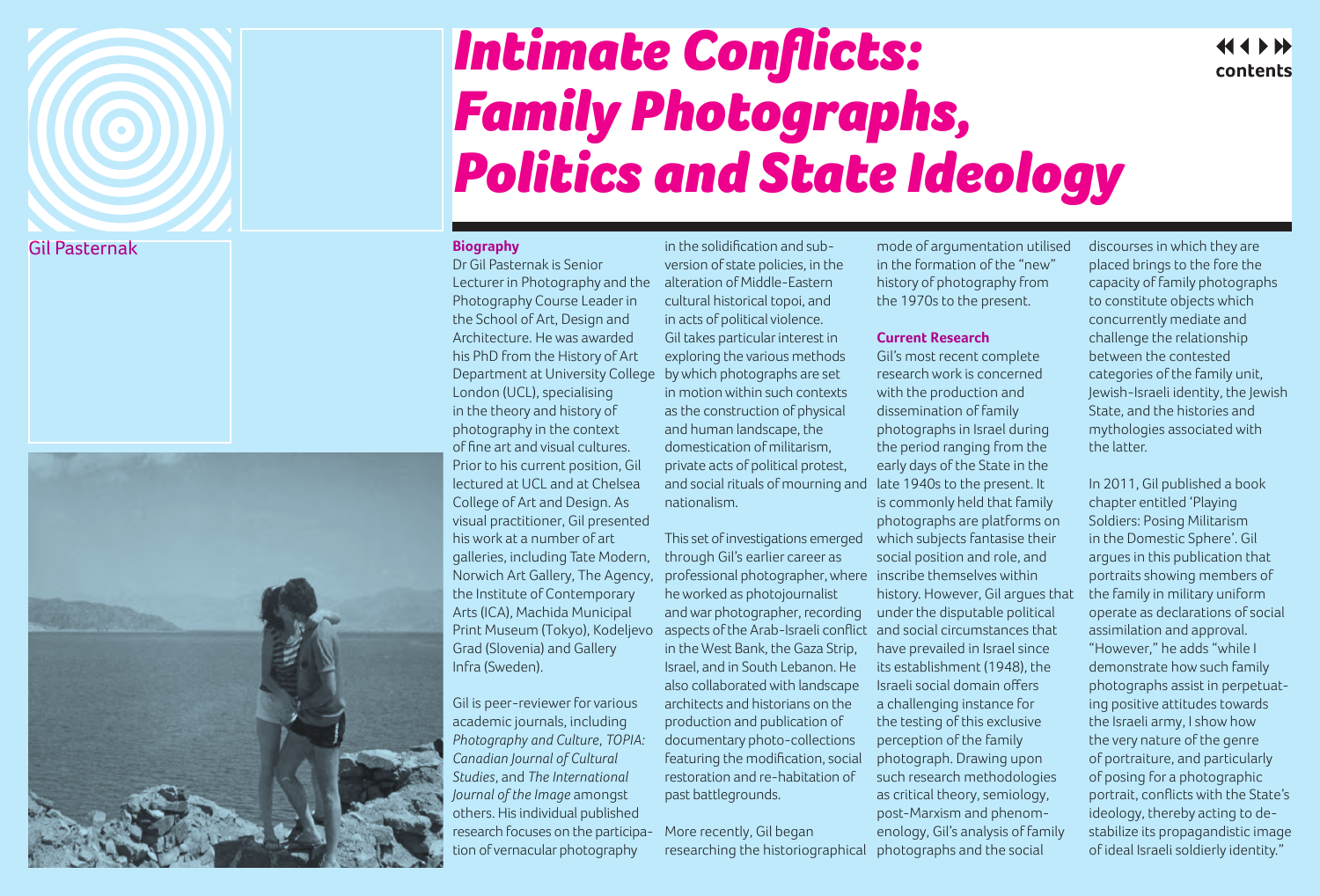## Gil Pasternak

 $\bigcirc$ 



## *Intimate Conflicts: Family Photographs, Politics and State Ideology*

## **Biography**

Dr Gil Pasternak is Senior Lecturer in Photography and the Photography Course Leader in the School of Art, Design and Architecture. He was awarded his PhD from the History of Art Department at University College London (UCL), specialising in the theory and history of photography in the context of fine art and visual cultures. Prior to his current position, Gil lectured at UCL and at Chelsea College of Art and Design. As visual practitioner, Gil presented his work at a number of art galleries, including Tate Modern, Norwich Art Gallery, The Agency, the Institute of Contemporary Arts (ICA), Machida Municipal Print Museum (Tokyo), Kodeljevo Grad (Slovenia) and Gallery Infra (Sweden).

Gil is peer-reviewer for various academic journals, including *Photography and Culture*, *TOPIA: Canadian Journal of Cultural Studies*, and *The International Journal of the Image* amongst others. His individual published research focuses on the participation of vernacular photography

in the solidification and subversion of state policies, in the alteration of Middle-Eastern cultural historical topoi, and in acts of political violence. Gil takes particular interest in exploring the various methods by which photographs are set in motion within such contexts as the construction of physical and human landscape, the domestication of militarism, private acts of political protest, and social rituals of mourning and nationalism.

This set of investigations emerged through Gil's earlier career as professional photographer, where inscribe themselves within he worked as photojournalist and war photographer, recording aspects of the Arab-Israeli conflict and social circumstances that in the West Bank, the Gaza Strip, Israel, and in South Lebanon. He also collaborated with landscape architects and historians on the production and publication of documentary photo-collections featuring the modification, social restoration and re-habitation of past battlegrounds.

More recently, Gil began researching the historiographical

mode of argumentation utilised in the formation of the "new" history of photography from the 1970s to the present.

## **Current Research**

Gil's most recent complete research work is concerned with the production and dissemination of family photographs in Israel during the period ranging from the early days of the State in the late 1940s to the present. It is commonly held that family photographs are platforms on which subjects fantasise their social position and role, and history. However, Gil argues that under the disputable political have prevailed in Israel since its establishment (1948), the Israeli social domain offers a challenging instance for the testing of this exclusive perception of the family photograph. Drawing upon such research methodologies as critical theory, semiology, post-Marxism and phenomenology, Gil's analysis of family photographs and the social

discourses in which they are placed brings to the fore the capacity of family photographs to constitute objects which concurrently mediate and challenge the relationship between the contested categories of the family unit, Jewish-Israeli identity, the Jewish State, and the histories and mythologies associated with the latter.

contents

In 2011, Gil published a book chapter entitled 'Playing Soldiers: Posing Militarism in the Domestic Sphere'. Gil argues in this publication that portraits showing members of the family in military uniform operate as declarations of social assimilation and approval. "However," he adds "while I demonstrate how such family photographs assist in perpetuating positive attitudes towards the Israeli army, I show how the very nature of the genre of portraiture, and particularly of posing for a photographic portrait, conflicts with the State's ideology, thereby acting to destabilize its propagandistic image of ideal Israeli soldierly identity."